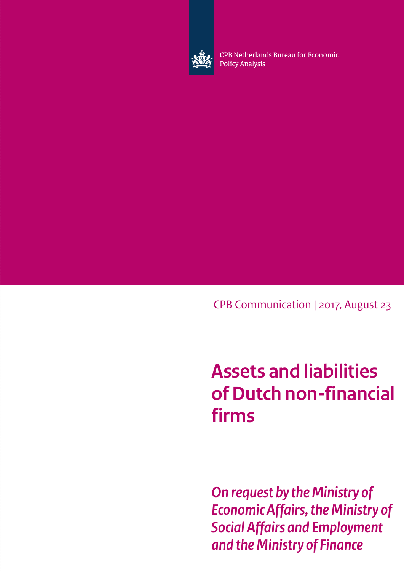

CPB Netherlands Bureau for Economic **Policy Analysis** 

CPB Communication | 2017, August 23

# **Assets and liabilities of Dutch non-financial firms**

*On request by the Ministry of Economic Affairs, the Ministry of Social Affairs and Employment and the Ministry of Finance*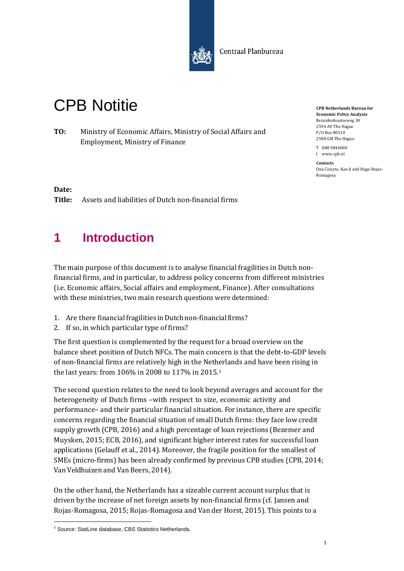

Centraal Planbureau

# CPB Notitie

**TO:** Ministry of Economic Affairs, Ministry of Social Affairs and Employment, Ministry of Finance

**CPB Netherlands Bureau for Economic Policy Analysis** Bezuidenhoutseweg 30 2594 AV The Hague P/O Box 80510 2508 GM The Hague

T 088 9846000 I www.cpb.nl

**Contacts** Ona Ciocyte, Kan Ji and Hugo Rojas-Romagosa

#### **Date:**

**Title:** Assets and liabilities of Dutch non-financial firms

## **1 Introduction**

The main purpose of this document is to analyse financial fragilities in Dutch nonfinancial firms, and in particular, to address policy concerns from different ministries (i.e. Economic affairs, Social affairs and employment, Finance). After consultations with these ministries, two main research questions were determined:

- 1. Are there financial fragilities in Dutch non-financial firms?
- 2. If so, in which particular type of firms?

The first question is complemented by the request for a broad overview on the balance sheet position of Dutch NFCs. The main concern is that the debt-to-GDP levels of non-financial firms are relatively high in the Netherlands and have been rising in the last years: from 106% in 2008 to 117% in 2015.[1](#page-2-0)

The second question relates to the need to look beyond averages and account for the heterogeneity of Dutch firms –with respect to size, economic activity and performance– and their particular financial situation. For instance, there are specific concerns regarding the financial situation of small Dutch firms: they face low credit supply growth [\(CPB,](#page-23-0) [2016\)](#page-23-0) and a high percentage of loan rejections [\(Bezemer and](#page-23-1) [Muysken,](#page-23-1) [2015;](#page-23-1) [ECB,](#page-23-2) [2016\),](#page-23-2) and significant higher interest rates for successful loan applications [\(Gelauff et al.,](#page-23-3) [2014\).](#page-23-3) Moreover, the fragile position for the smallest of SMEs (micro-firms) has been already confirmed by previous CPB studies [\(CPB,](#page-23-4) [2014;](#page-23-4) [Van Veldhuizen and Van Beers,](#page-24-0) [2014\).](#page-24-0)

On the other hand, the Netherlands has a sizeable current account surplus that is driven by the increase of net foreign assets by non-financial firms (cf. [Jansen and](#page-24-1) [Rojas-Romagosa,](#page-24-1) [2015;](#page-24-1) [Rojas-Romagosa and Van der Horst,](#page-24-2) [2015\).](#page-24-2) This points to a

<span id="page-2-0"></span><sup>&</sup>lt;sup>1</sup> Source: StatLine database, CBS Statistics Netherlands.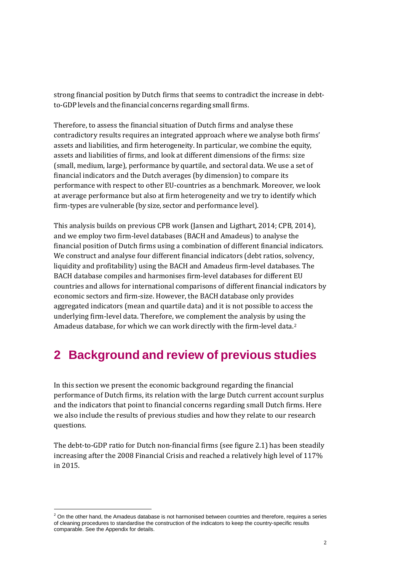strong financial position by Dutch firms that seems to contradict the increase in debtto-GDP levels and the financial concerns regarding small firms.

Therefore, to assess the financial situation of Dutch firms and analyse these contradictory results requires an integrated approach where we analyse both firms' assets and liabilities, and firm heterogeneity. In particular, we combine the equity, assets and liabilities of firms, and look at different dimensions of the firms: size (small, medium, large), performance by quartile, and sectoral data. We use a set of financial indicators and the Dutch averages (by dimension) to compare its performance with respect to other EU-countries as a benchmark. Moreover, we look at average performance but also at firm heterogeneity and we try to identify which firm-types are vulnerable (by size, sector and performance level).

This analysis builds on previous CPB wor[k \(Jansen and Ligthart,](#page-24-3) [2014;](#page-24-3) [CPB,](#page-23-4) [2014\),](#page-23-4) and we employ two firm-level databases (BACH and Amadeus) to analyse the financial position of Dutch firms using a combination of different financial indicators. We construct and analyse four different financial indicators (debt ratios, solvency, liquidity and profitability) using the BACH and Amadeus firm-level databases. The BACH database compiles and harmonises firm-level databases for different EU countries and allows for international comparisons of different financial indicators by economic sectors and firm-size. However, the BACH database only provides aggregated indicators (mean and quartile data) and it is not possible to access the underlying firm-level data. Therefore, we complement the analysis by using the Amadeus database, for which we can work directly with the firm-level data.[2](#page-3-0)

## **2 Background and review of previous studies**

In this section we present the economic background regarding the financial performance of Dutch firms, its relation with the large Dutch current account surplus and the indicators that point to financial concerns regarding small Dutch firms. Here we also include the results of previous studies and how they relate to our research questions.

The debt-to-GDP ratio for Dutch non-financial firms (see figure 2.1) has been steadily increasing after the 2008 Financial Crisis and reached a relatively high level of 117% in 2015.

<span id="page-3-0"></span> $2$  On the other hand, the Amadeus database is not harmonised between countries and therefore, requires a series of cleaning procedures to standardise the construction of the indicators to keep the country-specific results comparable. See the Appendix for details.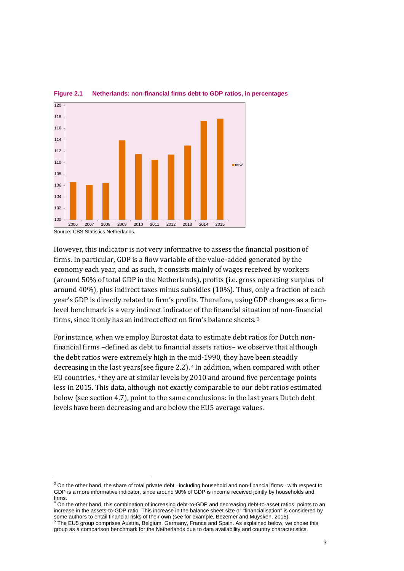

**Figure 2.1 Netherlands: non-financial firms debt to GDP ratios, in percentages**

However, this indicator is not very informative to assess the financial position of firms. In particular, GDP is a flow variable of the value-added generated by the economy each year, and as such, it consists mainly of wages received by workers (around 50% of total GDP in the Netherlands), profits (i.e. gross operating surplus of around 40%), plus indirect taxes minus subsidies (10%). Thus, only a fraction of each year's GDP is directly related to firm's profits. Therefore, using GDP changes as a firmlevel benchmark is a very indirect indicator of the financial situ[at](#page-4-0)ion of non-financial firms, since it only has an indirect effect on firm's balance sheets. <sup>3</sup>

For instance, when we employ Eurostat data to estimate debt ratios for Dutch nonfinancial firms –defined as debt to financial assets ratios– we observe that although the debt ratios were extremely high in the [m](#page-4-1)id-1990, they have been steadily decreasing in [t](#page-4-2)he last years(see figure [2.2\).](#page-5-0) <sup>4</sup> In addition, when compared with other EU countries, <sup>5</sup> they are at similar levels by 2010 and around five percentage points less in 2015. This data, although not exactly comparable to our debt ratios estimated below (see section [4.7\),](#page-21-0) point to the same conclusions: in the last years Dutch debt levels have been decreasing and are below the EU5 average values.

<span id="page-4-0"></span> $3$  On the other hand, the share of total private debt  $-$ including household and non-financial firms– with respect to GDP is a more informative indicator, since around 90% of GDP is income received jointly by households and firms.

<span id="page-4-1"></span>On the other hand, this combination of increasing debt-to-GDP and decreasing debt-to-asset ratios, points to an increase in the assets-to-GDP ratio. This increase in the balance sheet size or "financialisation" is considered by some authors to entail financial risks of their own (see for example, Bezemer and Muysken, 2015).<br>5 The EU5 group comprises Austria, Belgium, Germany, France and Spain. As explained below, we chose this

<span id="page-4-2"></span>group as a comparison benchmark for the Netherlands due to data availability and country characteristics.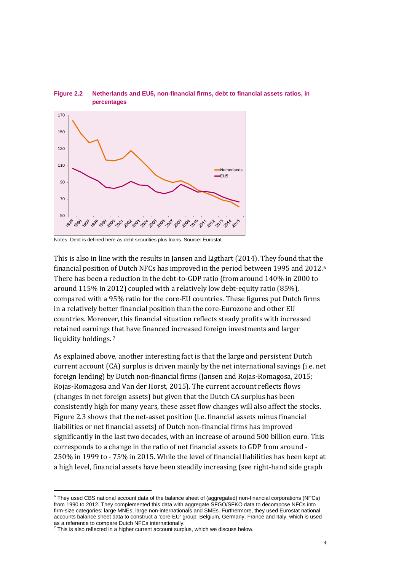

#### <span id="page-5-0"></span>**Figure 2.2 Netherlands and EU5, non-financial firms, debt to financial assets ratios, in percentages**

Notes: Debt is defined here as debt securities plus loans. Source: Eurostat.

This is also in line with the results in [Jansen and Ligthart](#page-24-3) [\(2014\).](#page-24-3) They found that the financial position of Dutch NFCs has improved in the period between 1995 and 2012.[6](#page-5-1) There has been a reduction in the debt-to-GDP ratio (from around 140% in 2000 to around 115% in 2012) coupled with a relatively low debt-equity ratio (85%), compared with a 95% ratio for the core-EU countries. These figures put Dutch firms in a relatively better financial position than the core-Eurozone and other EU countries. Moreover, this financial situation reflects steady profits with increased retained earnings [th](#page-5-2)at have financed increased foreign investments and larger liquidity holdings.<sup>7</sup>

As explained above, another interesting fact is that the large and persistent Dutch current account (CA) surplus is driven mainly by the net international savings (i.e. net foreign lending) by Dutch non-financial firms [\(Jansen and Rojas-Romagosa,](#page-24-1) [2015;](#page-24-1) [Rojas-Romagosa and Van der Horst,](#page-24-2) [2015\).](#page-24-2) The current account reflects flows (changes in net foreign assets) but given that the Dutch CA surplus has been consistently high for many years, these asset flow changes will also affect the stocks. Figure [2.3](#page-6-0) shows that the net-asset position (i.e. financial assets minus financial liabilities or net financial assets) of Dutch non-financial firms has improved significantly in the last two decades, with an increase of around 500 billion euro. This corresponds to a change in the ratio of net financial assets to GDP from around - 250% in 1999 to - 75% in 2015. While the level of financial liabilities has been kept at a high level, financial assets have been steadily increasing (see right-hand side graph

<span id="page-5-1"></span> $6$  They used CBS national account data of the balance sheet of (aggregated) non-financial corporations (NFCs) from 1990 to 2012. They complemented this data with aggregate SFGO/SFKO data to decompose NFCs into firm-size categories: large MNEs, large non-internationals and SMEs. Furthermore, they used Eurostat national accounts balance sheet data to construct a 'core-EU' group: Belgium, Germany, France and Italy, which is used as a reference to compare Dutch NFCs internationally.

<span id="page-5-2"></span>This is also reflected in a higher current account surplus, which we discuss below.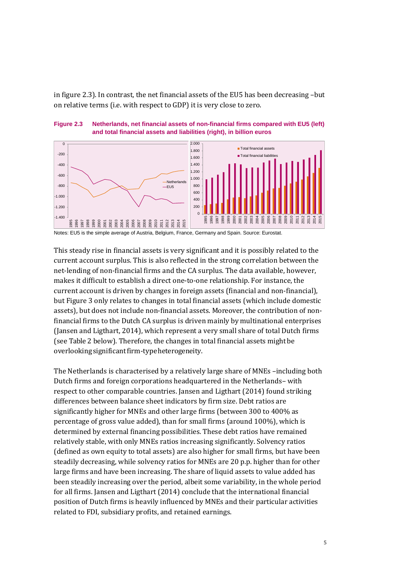in figure [2.3\).](#page-6-0) In contrast, the net financial assets of the EU5 has been decreasing –but on relative terms (i.e. with respect to GDP) it is very close to zero.

<span id="page-6-0"></span>



Notes: EU5 is the simple average of Austria, Belgium, France, Germany and Spain. Source: Eurostat.

This steady rise in financial assets is very significant and it is possibly related to the current account surplus. This is also reflected in the strong correlation between the net-lending of non-financial firms and the CA surplus. The data available, however, makes it difficult to establish a direct one-to-one relationship. For instance, the current account is driven by changes in foreign assets (financial and non-financial), but Figure 3 only relates to changes in total financial assets (which include domestic assets), but does not include non-financial assets. Moreover, the contribution of nonfinancial firms to the Dutch CA surplus is driven mainly by multinational enterprises [\(Jansen and Ligthart,](#page-24-3) [2014\),](#page-24-3) which represent a very small share of total Dutch firms (see Tabl[e 2](#page-9-0) below). Therefore, the changes in total financial assets mightbe overlookingsignificantfirm-typeheterogeneity.

The Netherlands is characterised by a relatively large share of MNEs –including both Dutch firms and foreign corporations headquartered in the Netherlands– with respect to other comparable countries[. Jansen and Ligthart](#page-24-3) [\(2014\)](#page-24-3) found striking differences between balance sheet indicators by firm size. Debt ratios are significantly higher for MNEs and other large firms (between 300 to 400% as percentage of gross value added), than for small firms (around 100%), which is determined by external financing possibilities. These debt ratios have remained relatively stable, with only MNEs ratios increasing significantly. Solvency ratios (defined as own equity to total assets) are also higher for small firms, but have been steadily decreasing, while solvency ratios for MNEs are 20 p.p. higher than for other large firms and have been increasing. The share of liquid assets to value added has been steadily increasing over the period, albeit some variability, in the whole period for all firms. [Jansen and](#page-24-3) [Ligthart](#page-24-3) [\(2014\)](#page-24-3) conclude that the international financial position of Dutch firms is heavily influenced by MNEs and their particular activities related to FDI, subsidiary profits, and retained earnings.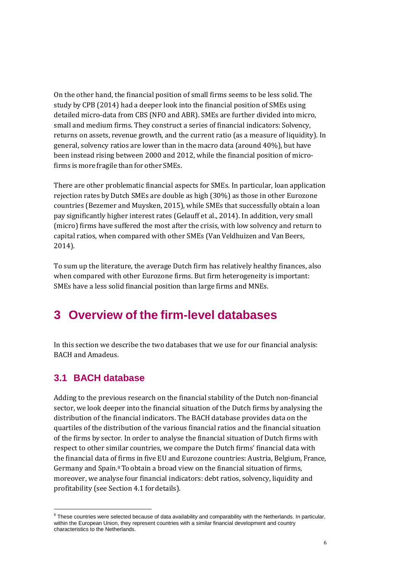On the other hand, the financial position of small firms seems to be less solid. The study b[y CPB](#page-23-4) [\(2014\)](#page-23-4) had a deeper look into the financial position of SMEs using detailed micro-data from CBS (NFO and ABR). SMEs are further divided into micro, small and medium firms. They construct a series of financial indicators: Solvency, returns on assets, revenue growth, and the current ratio (as a measure of liquidity). In general, solvency ratios are lower than in the macro data (around 40%), but have been instead rising between 2000 and 2012, while the financial position of microfirms is more fragile than for other SMEs.

There are other problematic financial aspects for SMEs. In particular, loan application rejection rates by Dutch SMEs are double as high (30%) as those in other Eurozone countries [\(Bezemer and Muysken,](#page-23-1) [2015\),](#page-23-1) while SMEs that successfully obtain a loan pay significantly higher interest rates (Gelauff et al., 2014). In addition, very small (micro) firms have suffered the most after the crisis, with low solvency and return to capital ratios, when compared with other SMEs ([Van Veldhuizen and](#page-24-0) [Van Beers,](#page-24-0) [2014\).](#page-24-0)

To sum up the literature, the average Dutch firm has relatively healthy finances, also when compared with other Eurozone firms. But firm heterogeneity is important: SMEs have a less solid financial position than large firms and MNEs.

## **3 Overview of the firm-level databases**

In this section we describe the two databases that we use for our financial analysis: BACH and Amadeus.

### **3.1 BACH database**

Adding to the previous research on the financial stability of the Dutch non-financial sector, we look deeper into the financial situation of the Dutch firms by analysing the distribution of the financial indicators. The BACH database provides data on the quartiles of the distribution of the various financial ratios and the financial situation of the firms by sector. In order to analyse the financial situation of Dutch firms with respect to other similar countries, we compare the Dutch firms' financial data with the financial data of firms in five EU and Eurozone countries: Austria, Belgium, France, Germany and Spain. $8$  To obtain a broad view on the financial situation of firms, moreover, we analyse four financial indicators: debt ratios, solvency, liquidity and profitability (see Section [4.1](#page-10-0) fordetails).

<span id="page-7-0"></span> $8$  These countries were selected because of data availability and comparability with the Netherlands. In particular, within the European Union, they represent countries with a similar financial development and country characteristics to the Netherlands.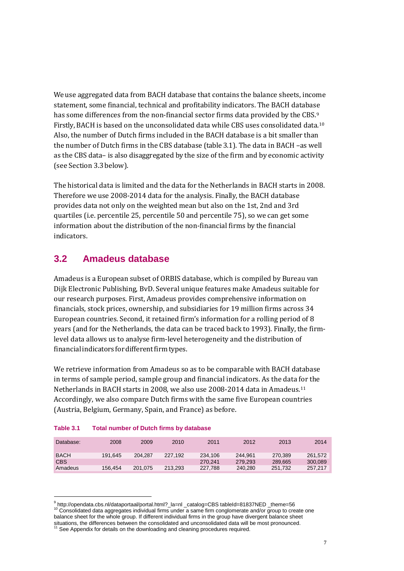We use aggregated data from BACH database that contains the balance sheets, income statement, some financial, technical and profitability indicators. The BACH databas[e](#page-8-1) has some differences from the non-financial sector firms data provided by the CBS.<sup>9</sup> Firstly, BACH is based on the unconsolidated data while CBS uses consolidated data.[10](#page-8-2) Also, the number of Dutch firms included in the BACH database is a bit smaller than the number of Dutch firms in the CBS database (table [3.1\).](#page-8-0) The data in BACH –as well as the CBS data– is also disaggregated by the size of the firm and by economic activity (see Sectio[n 3.3b](#page-9-1)elow).

The historical data is limited and the data for the Netherlands in BACH starts in 2008. Therefore we use 2008-2014 data for the analysis. Finally, the BACH database provides data not only on the weighted mean but also on the 1st, 2nd and 3rd quartiles (i.e. percentile 25, percentile 50 and percentile 75), so we can get some information about the distribution of the non-financial firms by the financial indicators.

### **3.2 Amadeus database**

Amadeus is a European subset of ORBIS database, which is compiled by Bureau van Dijk Electronic Publishing, BvD. Several unique features make Amadeus suitable for our research purposes. First, Amadeus provides comprehensive information on financials, stock prices, ownership, and subsidiaries for 19 million firms across 34 European countries. Second, it retained firm's information for a rolling period of 8 years (and for the Netherlands, the data can be traced back to 1993). Finally, the firmlevel data allows us to analyse firm-level heterogeneity and the distribution of financial indicators for different firm types.

We retrieve information from Amadeus so as to be comparable with BACH database in terms of sample period, sample group and financial indicators. As the data [for](#page-8-3) the Netherlands in BACH starts in 2008, we also use 2008-2014 data in Amadeus.11 Accordingly, we also compare Dutch firms with the same five European countries (Austria, Belgium, Germany, Spain, and France) as before.

| Database:   | 2008    | 2009    | 2010    | 2011    | 2012    | 2013    | 2014    |
|-------------|---------|---------|---------|---------|---------|---------|---------|
| <b>BACH</b> | 191.645 | 204.287 | 227.192 | 234.106 | 244.961 | 270.389 | 261.572 |
| <b>CBS</b>  |         |         |         | 270.241 | 279.293 | 289.665 | 300,089 |
| Amadeus     | 156.454 | 201.075 | 213.293 | 227.788 | 240.280 | 251.732 | 257.217 |

<span id="page-8-0"></span>

| Table 3.1 | <b>Total number of Dutch firms by database</b> |  |  |
|-----------|------------------------------------------------|--|--|
|           |                                                |  |  |

<span id="page-8-2"></span><span id="page-8-1"></span><sup>9</sup> http://opendata.cbs.nl/dataportaal/portal.html?\_la=nl \_catalog=CBS tableId=81837NED \_theme=56 <sup>10</sup> Consolidated data aggregates individual firms under a same firm conglomerate and/or group to create one balance sheet for the whole group. If different individual firms in the group have divergent balance sheet situations, the differences between the consolidated and unconsolidated data will be most pronounced.<br><sup>11</sup> See Appendix fact data will be most pronounced.

<span id="page-8-3"></span><sup>&</sup>lt;sup>1</sup> See Appendix for details on the downloading and cleaning procedures required.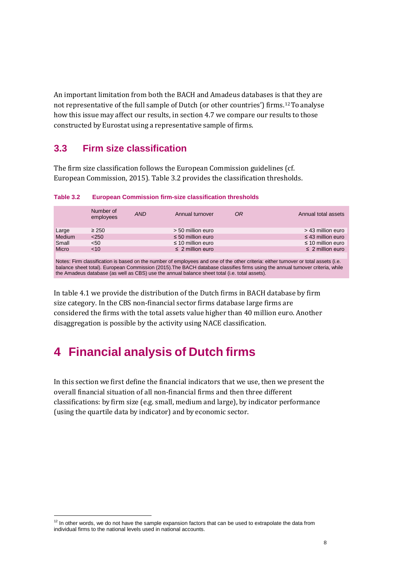An important limitation from both the BACH and Amadeus databases is t[ha](#page-9-2)t they are not representative of the full sample of Dutch (or other countries') firms.12 To analyse how this issue may affect our results, in section [4.7](#page-21-0) we compare our results to those constructed by Eurostat using a representative sample of firms.

### **3.3 Firm size classification**

<span id="page-9-1"></span>The firm size classification follows the European Commission guidelines (cf. [European Commission,](#page-23-5) [2015\).](#page-23-5) Table [3.2](#page-9-0) provides the classification thresholds.

|                                                                                                                                     | Number of<br>employees | <b>AND</b> | Annual turnover        | OR | Annual total assets    |
|-------------------------------------------------------------------------------------------------------------------------------------|------------------------|------------|------------------------|----|------------------------|
| Large                                                                                                                               | $\geq 250$             |            | > 50 million euro      |    | > 43 million euro      |
| Medium                                                                                                                              | < 250                  |            | $\leq 50$ million euro |    | $\leq$ 43 million euro |
| Small                                                                                                                               | < 50                   |            | $\leq$ 10 million euro |    | $\leq$ 10 million euro |
| Micro                                                                                                                               | <10                    |            | $\leq$ 2 million euro  |    | $\leq$ 2 million euro  |
|                                                                                                                                     |                        |            |                        |    |                        |
| Notes: Firm classification is based on the number of employees and one of the other criteria: either turnover or total assets (i.e. |                        |            |                        |    |                        |
| balance sheet total). European Commission (2015). The BACH database classifies firms using the annual turnover criteria, while      |                        |            |                        |    |                        |
| the Amadeus database (as well as CBS) use the annual balance sheet total (i.e. total assets).                                       |                        |            |                        |    |                        |

<span id="page-9-0"></span>**Table 3.2 European Commission firm-size classification thresholds**

In table 4.1 we provide the distribution of the Dutch firms in BACH database by firm size category. In the CBS non-financial sector firms database large firms are considered the firms with the total assets value higher than 40 million euro. Another disaggregation is possible by the activity using NACE classification.

## **4 Financial analysis of Dutch firms**

In this section we first define the financial indicators that we use, then we present the overall financial situation of all non-financial firms and then three different classifications: by firm size (e.g. small, medium and large), by indicator performance (using the quartile data by indicator) and by economic sector.

<span id="page-9-2"></span><sup>&</sup>lt;sup>12</sup> In other words, we do not have the sample expansion factors that can be used to extrapolate the data from individual firms to the national levels used in national accounts.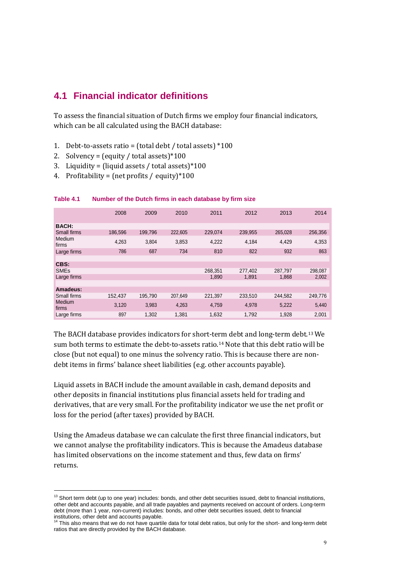### <span id="page-10-0"></span>**4.1 Financial indicator definitions**

To assess the financial situation of Dutch firms we employ four financial indicators, which can be all calculated using the BACH database:

- 1. Debt-to-assets ratio = (total debt / total assets)  $*100$
- 2. Solvency = (equity / total assets)  $*100$
- 3. Liquidity = (liquid assets / total assets)  $*100$
- 4. Profitability = (net profits / equity) $*100$

|                        | 2008    | 2009    | 2010    | 2011    | 2012    | 2013    | 2014    |
|------------------------|---------|---------|---------|---------|---------|---------|---------|
| <b>BACH:</b>           |         |         |         |         |         |         |         |
| <b>Small firms</b>     | 186,596 | 199,796 | 222,605 | 229,074 | 239,955 | 265,028 | 256,356 |
| Medium<br>firms        | 4,263   | 3,804   | 3,853   | 4,222   | 4,184   | 4,429   | 4,353   |
| Large firms            | 786     | 687     | 734     | 810     | 822     | 932     | 863     |
|                        |         |         |         |         |         |         |         |
| CBS:                   |         |         |         |         |         |         |         |
| <b>SME<sub>s</sub></b> |         |         |         | 268.351 | 277.402 | 287.797 | 298,087 |
| Large firms            |         |         |         | 1,890   | 1,891   | 1,868   | 2,002   |
|                        |         |         |         |         |         |         |         |
| Amadeus:               |         |         |         |         |         |         |         |
| <b>Small firms</b>     | 152,437 | 195.790 | 207.649 | 221.397 | 233.510 | 244.582 | 249,776 |
| Medium<br>firms        | 3,120   | 3,983   | 4,263   | 4,759   | 4,978   | 5.222   | 5,440   |
| Large firms            | 897     | 1,302   | 1,381   | 1,632   | 1,792   | 1,928   | 2,001   |

#### **Table 4.1 Number of the Dutch firms in each database by firm size**

The BACH database provides indicators for short-term debt and long-term debt.[13](#page-10-1)We sum both terms to estimate the debt-to-assets ratio.<sup>[14](#page-10-2)</sup> Note that this debt ratio will be close (but not equal) to one minus the solvency ratio. This is because there are nondebt items in firms' balance sheet liabilities (e.g. other accounts payable).

Liquid assets in BACH include the amount available in cash, demand deposits and other deposits in financial institutions plus financial assets held for trading and derivatives, that are very small. For the profitability indicator we use the net profit or loss for the period (after taxes) provided by BACH.

Using the Amadeus database we can calculate the first three financial indicators, but we cannot analyse the profitability indicators. This is because the Amadeus database has limited observations on the income statement and thus, few data on firms' returns.

<span id="page-10-1"></span><sup>&</sup>lt;sup>13</sup> Short term debt (up to one year) includes: bonds, and other debt securities issued, debt to financial institutions, other debt and accounts payable, and all trade payables and payments received on account of orders. Long-term debt (more than 1 year, non-current) includes: bonds, and other debt securities issued, debt to financial

<span id="page-10-2"></span>institutions, other debt and accounts payable.<br><sup>14</sup> This also means that we do not have quartile data for total debt ratios, but only for the short- and long-term debt ratios that are directly provided by the BACH database.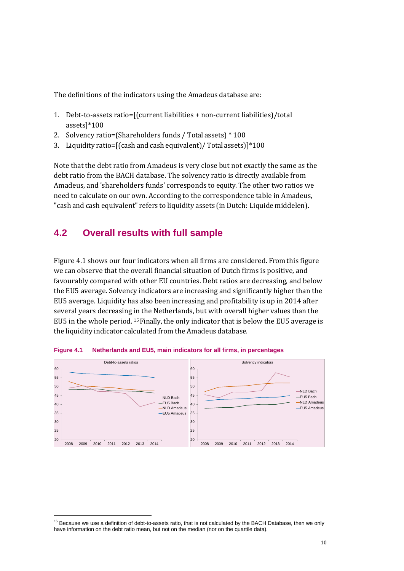The definitions of the indicators using the Amadeus database are:

- 1. Debt-to-assets ratio=[(current liabilities + non-current liabilities)/total assets]\*100
- 2. Solvency ratio=(Shareholders funds / Total assets) \* 100
- 3. Liquidity ratio=[(cash and cash equivalent)/ Total assets)]\*100

Note that the debt ratio from Amadeus is very close but not exactly the same as the debt ratio from the BACH database. The solvency ratio is directly available from Amadeus, and 'shareholders funds' corresponds to equity. The other two ratios we need to calculate on our own. According to the correspondence table in Amadeus, "cash and cash equivalent" refers to liquidity assets (in Dutch: Liquide middelen).

## **4.2 Overall results with full sample**

Figure [4.1](#page-11-0) shows our four indicators when all firms are considered. From this figure we can observe that the overall financial situation of Dutch firms is positive, and favourably compared with other EU countries. Debt ratios are decreasing, and below the EU5 average. Solvency indicators are increasing and significantly higher than the EU5 average. Liquidity has also been increasing and profitability is up in 2014 after several years decreasing [in](#page-11-1) the Netherlands, but with overall higher values than the EU5 in the whole period. <sup>15</sup> Finally, the only indicator that is below the EU5 average is the liquidity indicator calculated from the Amadeus database.



<span id="page-11-0"></span>**Figure 4.1 Netherlands and EU5, main indicators for all firms, in percentages**

<span id="page-11-1"></span> $15$  Because we use a definition of debt-to-assets ratio, that is not calculated by the BACH Database, then we only have information on the debt ratio mean, but not on the median (nor on the quartile data).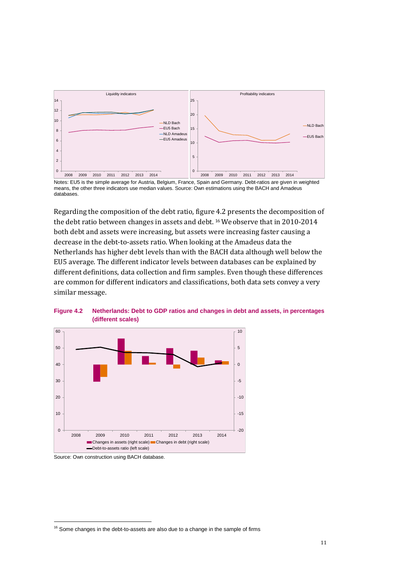

Notes: EU5 is the simple average for Austria, Belgium, France, Spain and Germany. Debt-ratios are given in weighted means, the other three indicators use median values. Source: Own estimations using the BACH and Amadeus databases.

Regarding the composition of the debt ratio, figure 4.2 presents the decomposition of the debt ratio between changes in assets and debt. [16](#page-12-0)We observe that in 2010-2014 both debt and assets were increasing, but assets were increasing faster causing a decrease in the debt-to-assets ratio. When looking at the Amadeus data the Netherlands has higher debt levels than with the BACH data although well below the EU5 average. The different indicator levels between databases can be explained by different definitions, data collection and firm samples. Even though these differences are common for different indicators and classifications, both data sets convey a very similar message.



**Figure 4.2 Netherlands: Debt to GDP ratios and changes in debt and assets, in percentages (different scales)**

Source: Own construction using BACH database.

<span id="page-12-0"></span> $16$  Some changes in the debt-to-assets are also due to a change in the sample of firms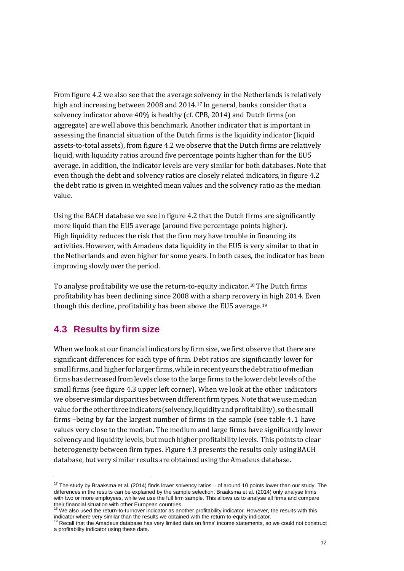From figure [4.](#page-11-0)2 we also see that the average solvency in the Netherlands is relatively high and increasing between 2008 and 2014.[17](#page-13-0) In general, banks consider that a solvency indicator above 40% is healthy (cf[. CPB,](#page-23-4) [2014\)](#page-23-4) and Dutch firms (on aggregate) are well above this benchmark. Another indicator that is important in assessing the financial situation of the Dutch firms is the liquidity indicator (liquid assets-to-total assets), from figure [4.](#page-11-0)2 we observe that the Dutch firms are relatively liquid, with liquidity ratios around five percentage points higher than for the EU5 average. In addition, the indicator levels are very similar for both databases. Note that even though the debt and solvency ratios are closely related indicators, in figur[e 4.2](#page-11-0) the debt ratio is given in weighted mean values and the solvency ratio as the median value.

Using the BACH database we see in figure [4.](#page-11-0)2 that the Dutch firms are significantly more liquid than the EU5 average (around five percentage points higher). High liquidity reduces the risk that the firm may have trouble in financing its activities. However, with Amadeus data liquidity in the EU5 is very similar to that in the Netherlands and even higher for some years. In both cases, the indicator has been improving slowly over the period.

To analyse profitability we use the return-to-equity indicator.<sup>[18](#page-13-1)</sup> The Dutch firms profitability has been declining since 2008 with a sharp recovery in high 2014. Even though this decline, profitability has been above the EU5 average.[19](#page-13-2)

### **4.3 Results by firm size**

When we look at our financial indicators by firm size, we first observe that there are significant differences for each type of firm. Debt ratios are significantly lower for small firms, and higher for larger firms, while in recent years the debt ratio of median firms has decreased from levels close to the large firms to the lower debtlevels ofthe small firms (see figure 4.3 upper left corner). When we look at the other indicators we observe similar disparities between different firm types. Note that we use median value fortheotherthreeindicators(solvency,liquidityandprofitability), sothesmall firms –being by far the largest number of firms in the sample (see table 4.1 have values very close to the median. The medium and large firms have significantly lower solvency and liquidity levels, but much higher profitability levels. This points to clear heterogeneity between firm types. Figure 4.3 presents the results only using BACH database, but very similar results are obtained using the Amadeus database.

<span id="page-13-0"></span> $17$  The study by Braaksma et al. (2014) finds lower solvency ratios – of around 10 points lower than our study. The differences in the results can be explained by the sample selection. Braaksma et al. (2014) only analyse firms with two or more employees, while we use the full firm sample. This allows us to analyse all firms and compare

<span id="page-13-1"></span>their financial situation with other European countries.<br><sup>18</sup> We also used the return-to-turnover indicator as another profitability indicator. However, the results with this indicator where very similar than the results we obtained with the return-to-equity indicator.<br><sup>19</sup> Recall that the Amadeus database has very limited data on firms' income statements, so we could not construct

<span id="page-13-2"></span>a profitability indicator using these data.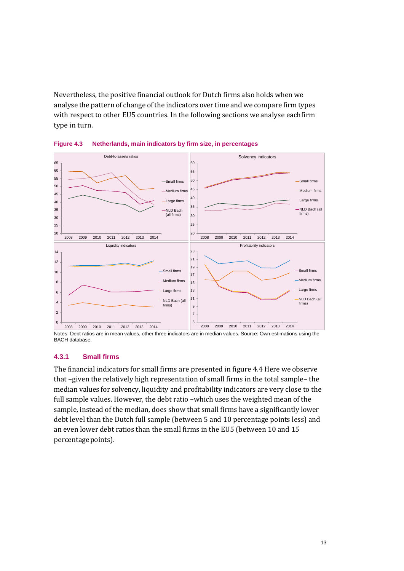Nevertheless, the positive financial outlook for Dutch firms also holds when we analyse the pattern of change of the indicators over time and we compare firm types with respect to other EU5 countries. In the following sections we analyse eachfirm type in turn.



**Figure 4.3 Netherlands, main indicators by firm size, in percentages**

#### **4.3.1 Small firms**

The financial indicators for small firms are presented in figure 4.4 Here we observe that –given the relatively high representation of small firms in the total sample– the median values for solvency, liquidity and profitability indicators are very close to the full sample values. However, the debt ratio –which uses the weighted mean of the sample, instead of the median, does show that small firms have a significantly lower debt level than the Dutch full sample (between 5 and 10 percentage points less) and an even lower debt ratios than the small firms in the EU5 (between 10 and 15 percentage points).

Notes: Debt ratios are in mean values, other three indicators are in median values. Source: Own estimations using the BACH database.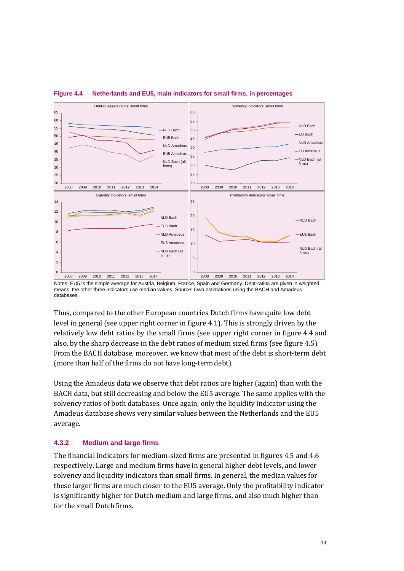

#### **Figure 4.4 Netherlands and EU5, main indicators for small firms, in percentages**

Notes: EU5 is the simple average for Austria, Belgium, France, Spain and Germany. Debt-ratios are given in weighted means, the other three indicators use median values. Source: Own estimations using the BACH and Amadeus databases.

Thus, compared to the other European countries Dutch firms have quite low debt level in general (see upper right corner in figure [4.1\).](#page-11-0) This is strongly driven by the relatively low debt ratios by the small firms (see upper right corner in figure 4.4 and also, by the sharp decrease in the debt ratios of medium sized firms (see figure [4.5\).](#page-16-0) From the BACH database, moreover, we know that most of the debt is short-term debt (more than half of the firms do not have long-termdebt).

Using the Amadeus data we observe that debt ratios are higher (again) than with the BACH data, but still decreasing and below the EU5 average. The same applies with the solvency ratios of both databases. Once again, only the liquidity indicator using the Amadeus database shows very similar values between the Netherlands and the EU5 average.

#### **4.3.2 Medium and large firms**

The financial indicators for medium-sized firms are presented in figures [4.5](#page-16-0) and 4.6 respectively. Large and medium firms have in general higher debt levels, and lower solvency and liquidity indicators than small firms. In general, the median values for these larger firms are much closer to the EU5 average. Only the profitability indicator is significantly higher for Dutch medium and large firms, and also much higher than for the small Dutchfirms.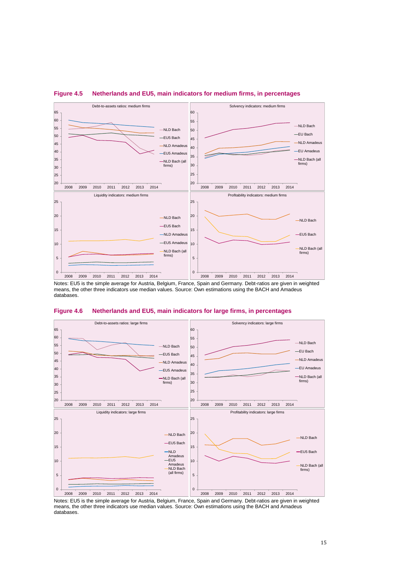

#### <span id="page-16-0"></span>**Figure 4.5 Netherlands and EU5, main indicators for medium firms, in percentages**

Notes: EU5 is the simple average for Austria, Belgium, France, Spain and Germany. Debt-ratios are given in weighted means, the other three indicators use median values. Source: Own estimations using the BACH and Amadeus databases.





Notes: EU5 is the simple average for Austria, Belgium, France, Spain and Germany. Debt-ratios are given in weighted means, the other three indicators use median values. Source: Own estimations using the BACH and Amadeus databases.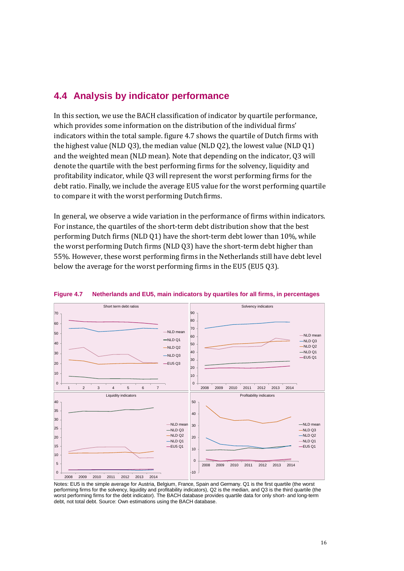### **4.4 Analysis by indicator performance**

In this section, we use the BACH classification of indicator by quartile performance, which provides some information on the distribution of the individual firms' indicators within the total sample. figur[e 4.7](#page-17-0) shows the quartile of Dutch firms with the highest value (NLD Q3), the median value (NLD Q2), the lowest value (NLD Q1) and the weighted mean (NLD mean). Note that depending on the indicator, Q3 will denote the quartile with the best performing firms for the solvency, liquidity and profitability indicator, while Q3 will represent the worst performing firms for the debt ratio. Finally, we include the average EU5 value for the worst performing quartile to compare it with the worst performing Dutchfirms.

In general, we observe a wide variation in the performance of firms within indicators. For instance, the quartiles of the short-term debt distribution show that the best performing Dutch firms (NLD Q1) have the short-term debt lower than 10%, while the worst performing Dutch firms (NLD Q3) have the short-term debt higher than 55%. However, these worst performing firms in the Netherlands still have debt level below the average for the worst performing firms in the EU5 (EU5 Q3).



#### <span id="page-17-0"></span>**Figure 4.7 Netherlands and EU5, main indicators by quartiles for all firms, in percentages**

Notes: EU5 is the simple average for Austria, Belgium, France, Spain and Germany, Q1 is the first quartile (the worst performing firms for the solvency, liquidity and profitability indicators), Q2 is the median, and Q3 is the third quartile (the worst performing firms for the debt indicator). The BACH database provides quartile data for only short- and long-term debt, not total debt. Source: Own estimations using the BACH database.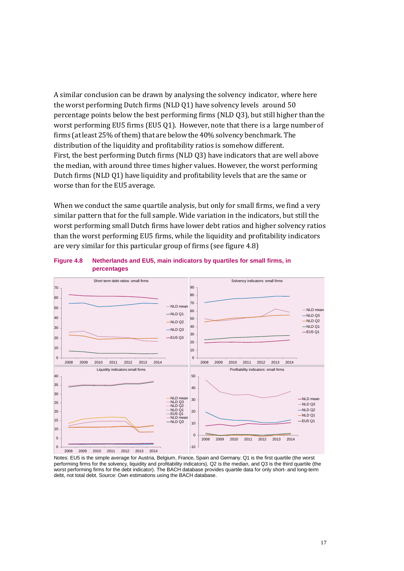A similar conclusion can be drawn by analysing the solvency indicator, where here the worst performing Dutch firms (NLD Q1) have solvency levels around 50 percentage points below the best performing firms (NLD Q3), but still higher thanthe worst performing EU5 firms (EU5 Q1). However, note that there is a large number of firms (at least 25% of them) that are below the 40% solvency benchmark. The distribution of the liquidity and profitability ratios is somehow different. First, the best performing Dutch firms (NLD Q3) have indicators that are well above the median, with around three times higher values. However, the worst performing Dutch firms (NLD Q1) have liquidity and profitability levels that are the same or worse than for the EU5 average.

When we conduct the same quartile analysis, but only for small firms, we find a very similar pattern that for the full sample. Wide variation in the indicators, but still the worst performing small Dutch firms have lower debt ratios and higher solvency ratios than the worst performing EU5 firms, while the liquidity and profitability indicators are very similar for this particular group of firms (see figure 4.8)



#### **Figure 4.8 Netherlands and EU5, main indicators by quartiles for small firms, in percentages**

Notes: EU5 is the simple average for Austria, Belgium, France, Spain and Germany. Q1 is the first quartile (the worst performing firms for the solvency, liquidity and profitability indicators), Q2 is the median, and Q3 is the third quartile (the worst performing firms for the debt indicator). The BACH database provides quartile data for only short- and long-term debt, not total debt. Source: Own estimations using the BACH database.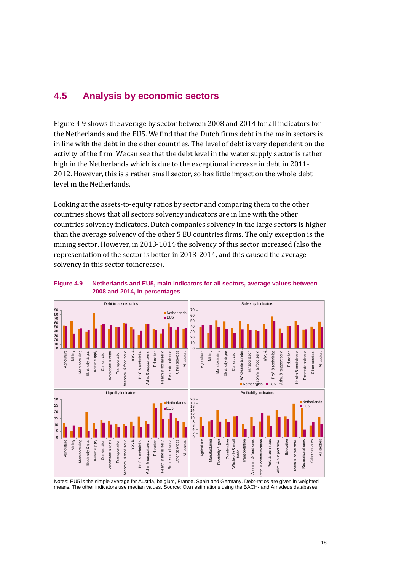### **4.5 Analysis by economic sectors**

Figure 4.9 shows the average by sector between 2008 and 2014 for all indicators for the Netherlands and the EU5. We find that the Dutch firms debt in the main sectors is in line with the debt in the other countries. The level of debt is very dependent on the activity of the firm. We can see that the debt level in the water supply sector is rather high in the Netherlands which is due to the exceptional increase in debt in 2011- 2012. However, this is a rather small sector, so has little impact on the whole debt level in the Netherlands.

Looking at the assets-to-equity ratios by sector and comparing them to the other countries shows that all sectors solvency indicators are in line with the other countries solvency indicators. Dutch companies solvency in the large sectors is higher than the average solvency of the other 5 EU countries firms. The only exception is the mining sector. However, in 2013-1014 the solvency of this sector increased (also the representation of the sector is better in 2013-2014, and this caused the average solvency in this sector toincrease).





Notes: EU5 is the simple average for Austria, belgium, France, Spain and Germany. Debt-ratios are given in weighted means. The other indicators use median values. Source: Own estimations using the BACH- and Amadeus databases.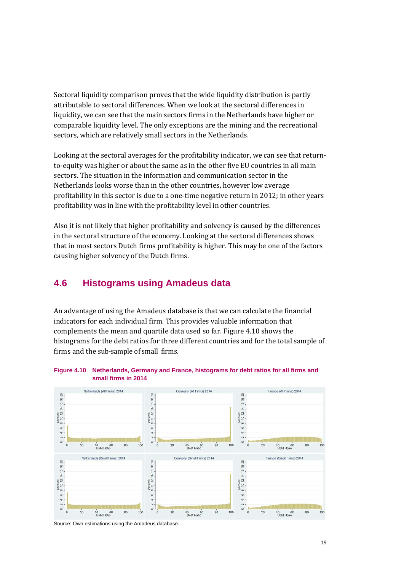Sectoral liquidity comparison proves that the wide liquidity distribution is partly attributable to sectoral differences. When we look at the sectoral differences in liquidity, we can see that the main sectors firms in the Netherlands have higher or comparable liquidity level. The only exceptions are the mining and the recreational sectors, which are relatively small sectors in the Netherlands.

Looking at the sectoral averages for the profitability indicator, we can see that returnto-equity was higher or about the same as in the other five EU countries in all main sectors. The situation in the information and communication sector in the Netherlands looks worse than in the other countries, however low average profitability in this sector is due to a one-time negative return in 2012; in other years profitability was in line with the profitability level in other countries.

Also it is not likely that higher profitability and solvency is caused by the differences in the sectoral structure of the economy. Looking at the sectoral differences shows that in most sectors Dutch firms profitability is higher. This may be one of the factors causing higher solvency of the Dutch firms.

### **4.6 Histograms using Amadeus data**

An advantage of using the Amadeus database is that we can calculate the financial indicators for each individual firm. This provides valuable information that complements the mean and quartile data used so far. Figure [4.10](#page-20-0) shows the histograms for the debt ratios for three different countries and for the total sample of firms and the sub-sample of small firms.

<span id="page-20-0"></span>



Source: Own estimations using the Amadeus database.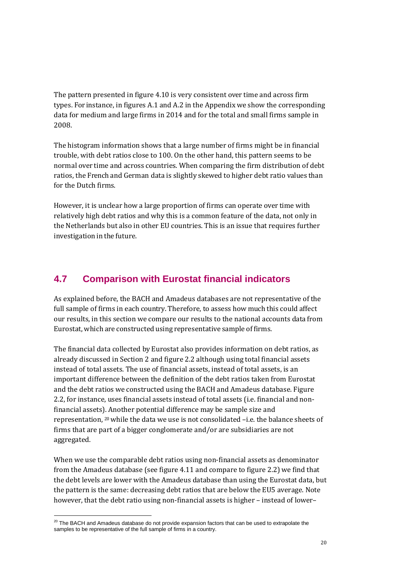The pattern presented in figure [4.10](#page-20-0) is very consistent over time and across firm types. For instance, in figures A.1 and A.2 in the Appendix we show the corresponding data for medium and large firms in 2014 and for the total and small firms sample in 2008.

The histogram information shows that a large number of firms might be in financial trouble, with debt ratios close to 100. On the other hand, this pattern seems to be normal over time and across countries. When comparing the firm distribution of debt ratios, the French and German data is slightly skewed to higher debt ratio values than for the Dutch firms.

However, it is unclear how a large proportion of firms can operate over time with relatively high debt ratios and why this is a common feature of the data, not only in the Netherlands but also in other EU countries. This is an issue that requires further investigation in the future.

## **4.7 Comparison with Eurostat financial indicators**

<span id="page-21-0"></span>As explained before, the BACH and Amadeus databases are not representative of the full sample of firms in each country. Therefore, to assess how much this could affect our results, in this section we compare our results to the national accounts data from Eurostat, which are constructed using representative sample of firms.

The financial data collected by Eurostat also provides information on debt ratios, as already discussed in Section 2 and figur[e 2.](#page-5-0)2 although using total financial assets instead of total assets. The use of financial assets, instead of total assets, is an important difference between the definition of the debt ratios taken from Eurostat and the debt ratios we constructed using the BACH and Amadeus database. Figure [2.2,](#page-5-0) for instance, uses financial assets instead of total assets (i.e. financial and nonfinancial assets). Another potential difference may be sample size and representation, [20](#page-21-1)while the data we use is not consolidated –i.e. the balance sheets of firms that are part of a bigger conglomerate and/or are subsidiaries are not aggregated.

When we use the comparable debt ratios using non-financial assets as denominator from the Amadeus database (see figure [4.](#page-22-0)11 and compare to figure [2.2\)](#page-5-0) we find that the debt levels are lower with the Amadeus database than using the Eurostat data, but the pattern is the same: decreasing debt ratios that are below the EU5 average. Note however, that the debt ratio using non-financial assets is higher – instead of lower–

<span id="page-21-1"></span><sup>&</sup>lt;sup>20</sup> The BACH and Amadeus database do not provide expansion factors that can be used to extrapolate the samples to be representative of the full sample of firms in a country.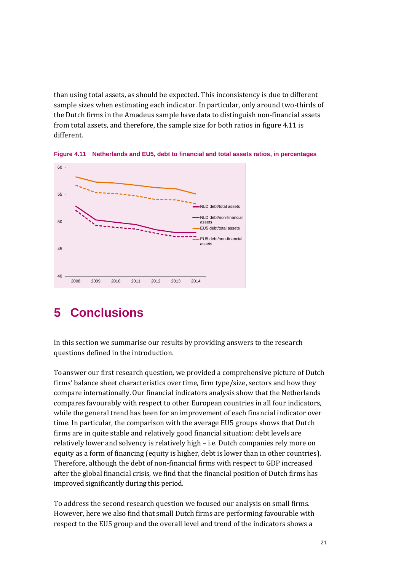than using total assets, as should be expected. This inconsistency is due to different sample sizes when estimating each indicator. In particular, only around two-thirds of the Dutch firms in the Amadeus sample have data to distinguish non-financial assets from total assets, and therefore, the sample size for both ratios in figure 4.11 is different.



<span id="page-22-0"></span>**Figure 4.11 Netherlands and EU5, debt to financial and total assets ratios, in percentages**

## **5 Conclusions**

In this section we summarise our results by providing answers to the research questions defined in the introduction.

To answer our first research question, we provided a comprehensive picture of Dutch firms' balance sheet characteristics over time, firm type/size, sectors and how they compare internationally. Our financial indicators analysis show that the Netherlands compares favourably with respect to other European countries in all four indicators, while the general trend has been for an improvement of each financial indicator over time. In particular, the comparison with the average EU5 groups shows that Dutch firms are in quite stable and relatively good financial situation: debt levels are relatively lower and solvency is relatively high – i.e. Dutch companies rely more on equity as a form of financing (equity is higher, debt is lower than in other countries). Therefore, although the debt of non-financial firms with respect to GDP increased after the global financial crisis, we find that the financial position of Dutch firms has improved significantly during this period.

To address the second research question we focused our analysis on small firms. However, here we also find that small Dutch firms are performing favourable with respect to the EU5 group and the overall level and trend of the indicators shows a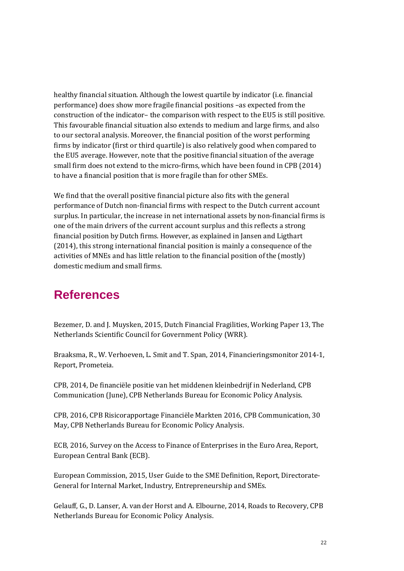healthy financial situation. Although the lowest quartile by indicator (i.e. financial performance) does show more fragile financial positions –as expected from the construction of the indicator– the comparison with respect to the EU5 is still positive. This favourable financial situation also extends to medium and large firms, and also to our sectoral analysis. Moreover, the financial position of the worst performing firms by indicator (first or third quartile) is also relatively good when compared to the EU5 average. However, note that the positive financial situation of the average small firm does not extend to the micro-firms, which have been found in CPB (2014) to have a financial position that is more fragile than for other SMEs.

We find that the overall positive financial picture also fits with the general performance of Dutch non-financial firms with respect to the Dutch current account surplus. In particular, the increase in net international assets by non-financial firms is one of the main drivers of the current account surplus and this reflects a strong financial position by Dutch firms. However, as explained in [Jansen and Ligthart](#page-24-3) [\(2014\),](#page-24-3) this strong international financial position is mainly a consequence of the activities of MNEs and has little relation to the financial position of the (mostly) domestic medium and small firms.

## **References**

<span id="page-23-1"></span>Bezemer, D. and J. Muysken, 2015, Dutch Financial Fragilities, Working Paper 13, The Netherlands Scientific Council for Government Policy (WRR).

Braaksma, R., W. Verhoeven, L. Smit and T. Span, 2014, Financieringsmonitor 2014-1, Report, Prometeia.

<span id="page-23-4"></span>CPB, 2014, De financiële positie van het middenen kleinbedrijf in Nederland, CPB Communication (June), CPB Netherlands Bureau for Economic Policy Analysis.

<span id="page-23-0"></span>CPB, 2016, CPB Risicorapportage Financiële Markten 2016, CPB Communication, 30 May, CPB Netherlands Bureau for Economic Policy Analysis.

<span id="page-23-2"></span>ECB, 2016, Survey on the Access to Finance of Enterprises in the Euro Area, Report, European Central Bank (ECB).

<span id="page-23-5"></span>European Commission, 2015, User Guide to the SME Definition, Report, Directorate-General for Internal Market, Industry, Entrepreneurship and SMEs.

<span id="page-23-3"></span>Gelauff, G., D. Lanser, A. van der Horst and A. Elbourne, 2014, Roads to Recovery, CPB Netherlands Bureau for Economic Policy Analysis.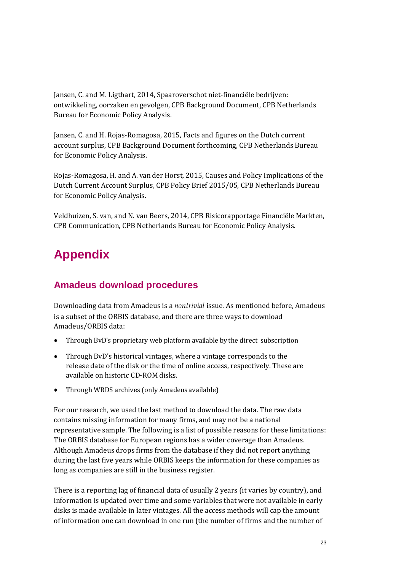<span id="page-24-3"></span>Jansen, C. and M. Ligthart, 2014, Spaaroverschot niet-financiële bedrijven: ontwikkeling, oorzaken en gevolgen, CPB Background Document, CPB Netherlands Bureau for Economic Policy Analysis.

<span id="page-24-1"></span>Jansen, C. and H. Rojas-Romagosa, 2015, Facts and figures on the Dutch current account surplus, CPB Background Document forthcoming, CPB Netherlands Bureau for Economic Policy Analysis.

<span id="page-24-2"></span>Rojas-Romagosa, H. and A. van der Horst, 2015, Causes and Policy Implications of the Dutch Current Account Surplus, CPB Policy Brief 2015/05, CPB Netherlands Bureau for Economic PolicyAnalysis.

<span id="page-24-0"></span>Veldhuizen, S. van, and N. van Beers, 2014, CPB Risicorapportage Financiële Markten, CPB Communication, CPB Netherlands Bureau for Economic Policy Analysis.

## **Appendix**

## **Amadeus download procedures**

Downloading data from Amadeus is a *nontrivial* issue. As mentioned before, Amadeus is a subset of the ORBIS database, and there are three ways to download Amadeus/ORBIS data:

- Through BvD's proprietary web platform available by the direct subscription
- Through BvD's historical vintages, where a vintage corresponds to the release date of the disk or the time of online access, respectively. These are available on historic CD-ROM disks.
- *●* Through WRDS archives (only Amadeus available)

For our research, we used the last method to download the data. The raw data contains missing information for many firms, and may not be a national representative sample. The following is a list of possible reasons for these limitations: The ORBIS database for European regions has a wider coverage than Amadeus. Although Amadeus drops firms from the database if they did not report anything during the last five years while ORBIS keeps the information for these companies as long as companies are still in the business register.

There is a reporting lag of financial data of usually 2 years (it varies by country), and information is updated over time and some variables that were not available in early disks is made available in later vintages. All the access methods will cap the amount of information one can download in one run (the number of firms and the number of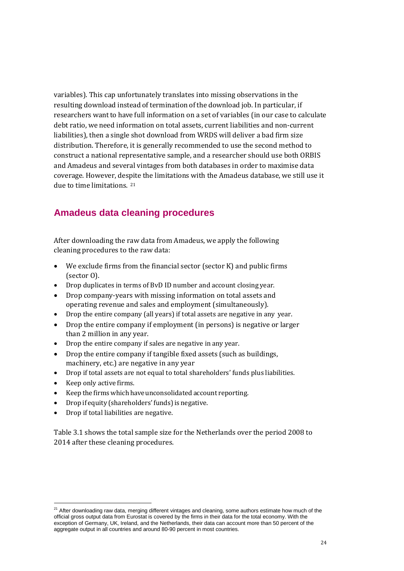variables). This cap unfortunately translates into missing observations in the resulting download instead of termination of the download job. In particular, if researchers want to have full information on a set of variables (in our case to calculate debt ratio, we need information on total assets, current liabilities and non-current liabilities), then a single shot download from WRDS will deliver a bad firm size distribution. Therefore, it is generally recommended to use the second method to construct a national representative sample, and a researcher should use both ORBIS and Amadeus and several vintages from both databases in order to maximise data coverage. However, des[pit](#page-25-0)e the limitations with the Amadeus database, we still use it due to time limitations. <sup>21</sup>

## **Amadeus data cleaning procedures**

After downloading the raw data from Amadeus, we apply the following cleaning procedures to the raw data:

- We exclude firms from the financial sector (sector K) and public firms (sector O).
- Drop duplicates in terms of BvD ID number and account closing year.
- Drop company-years with missing information on total assets and operating revenue and sales and employment (simultaneously).
- Drop the entire company (all years) if total assets are negative in any year.
- Drop the entire company if employment (in persons) is negative or larger than 2 million in any year.
- Drop the entire company if sales are negative in any year.
- Drop the entire company if tangible fixed assets (such as buildings, machinery, etc.) are negative in any year
- Drop if total assets are not equal to total shareholders' funds plus liabilities.
- Keep only active firms.
- Keep the firms which have unconsolidated account reporting.
- Drop if equity (shareholders' funds) is negative.
- Drop if total liabilities are negative.

Table [3.1](#page-8-0) shows the total sample size for the Netherlands over the period 2008 to 2014 after these cleaning procedures.

<span id="page-25-0"></span><sup>&</sup>lt;sup>21</sup> After downloading raw data, merging different vintages and cleaning, some authors estimate how much of the official gross output data from Eurostat is covered by the firms in their data for the total economy. With the exception of Germany, UK, Ireland, and the Netherlands, their data can account more than 50 percent of the aggregate output in all countries and around 80-90 percent in most countries.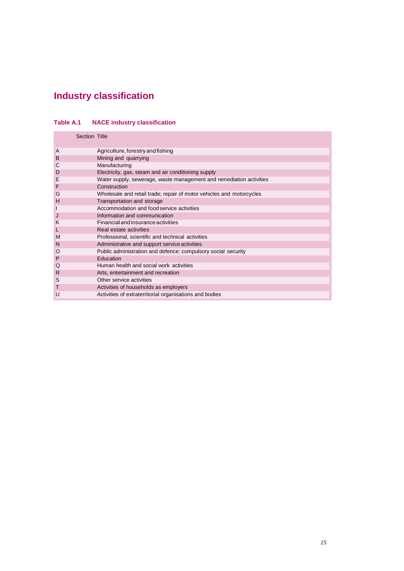## **Industry classification**

#### **Table A.1 NACE industry classification**

|   | Section Title                                                        |
|---|----------------------------------------------------------------------|
| A | Agriculture, forestry and fishing                                    |
| B | Mining and quarrying                                                 |
| С | Manufacturing                                                        |
| D | Electricity, gas, steam and air conditioning supply                  |
| E | Water supply, sewerage, waste management and remediation activities  |
| F | Construction                                                         |
| G | Wholesale and retail trade; repair of motor vehicles and motorcycles |
| н | Transportation and storage                                           |
|   | Accommodation and food service activities                            |
| J | Information and communication                                        |
| K | Financial and insurance activities                                   |
|   | Real estate activities                                               |
| M | Professional, scientific and technical activities                    |
| N | Administrative and support service activities                        |
| O | Public administration and defence; compulsory social security        |
| P | Education                                                            |
| Q | Human health and social work activities                              |
| R | Arts, entertainment and recreation                                   |
| S | Other service activities                                             |
| т | Activities of households as employers                                |
| U | Activities of extraterritorial organisations and bodies              |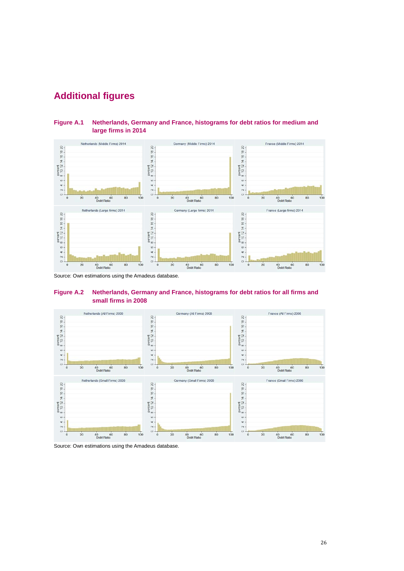## **Additional figures**





Source: Own estimations using the Amadeus database.





Source: Own estimations using the Amadeus database.